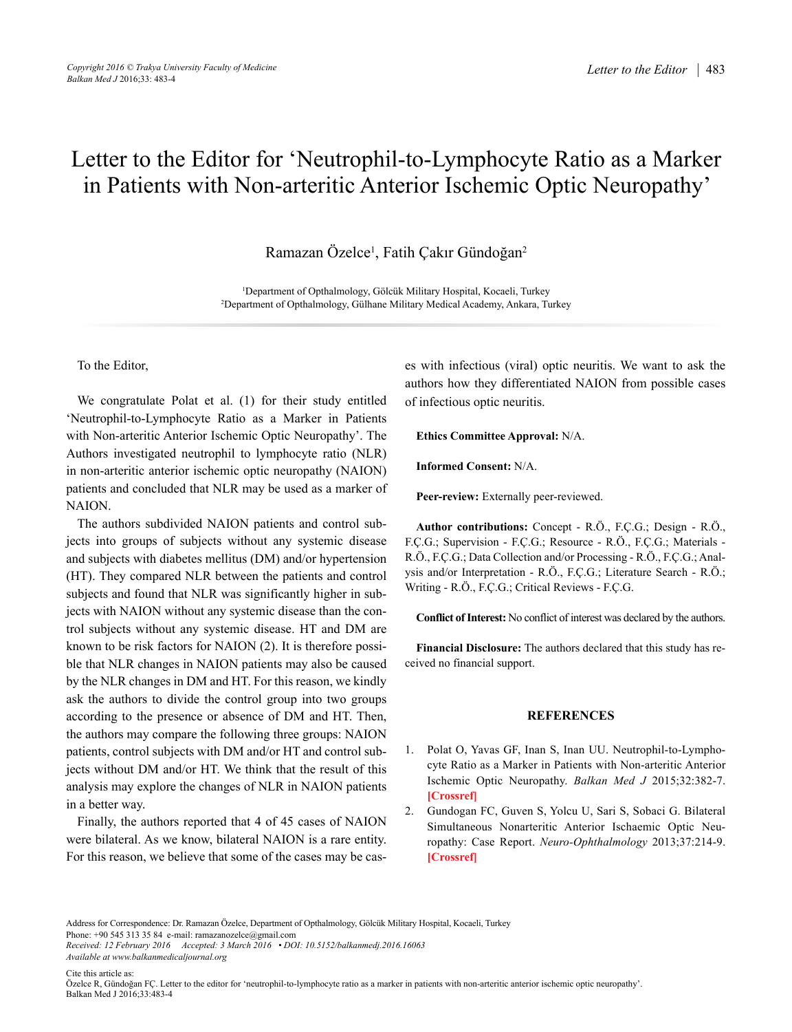## Letter to the Editor for 'Neutrophil-to-Lymphocyte Ratio as a Marker in Patients with Non-arteritic Anterior Ischemic Optic Neuropathy'

Ramazan Özelce<sup>1</sup>, Fatih Çakır Gündoğan<sup>2</sup>

1 Department of Opthalmology, Gölcük Military Hospital, Kocaeli, Turkey 2 Department of Opthalmology, Gülhane Military Medical Academy, Ankara, Turkey

To the Editor,

We congratulate Polat et al. (1) for their study entitled 'Neutrophil-to-Lymphocyte Ratio as a Marker in Patients with Non-arteritic Anterior Ischemic Optic Neuropathy'. The Authors investigated neutrophil to lymphocyte ratio (NLR) in non-arteritic anterior ischemic optic neuropathy (NAION) patients and concluded that NLR may be used as a marker of NAION.

The authors subdivided NAION patients and control subjects into groups of subjects without any systemic disease and subjects with diabetes mellitus (DM) and/or hypertension (HT). They compared NLR between the patients and control subjects and found that NLR was significantly higher in subjects with NAION without any systemic disease than the control subjects without any systemic disease. HT and DM are known to be risk factors for NAION (2). It is therefore possible that NLR changes in NAION patients may also be caused by the NLR changes in DM and HT. For this reason, we kindly ask the authors to divide the control group into two groups according to the presence or absence of DM and HT. Then, the authors may compare the following three groups: NAION patients, control subjects with DM and/or HT and control subjects without DM and/or HT. We think that the result of this analysis may explore the changes of NLR in NAION patients in a better way.

Finally, the authors reported that 4 of 45 cases of NAION were bilateral. As we know, bilateral NAION is a rare entity. For this reason, we believe that some of the cases may be cases with infectious (viral) optic neuritis. We want to ask the authors how they differentiated NAION from possible cases of infectious optic neuritis.

**Ethics Committee Approval:** N/A.

**Informed Consent:** N/A.

**Peer-review:** Externally peer-reviewed.

**Author contributions:** Concept - R.Ö., F.Ç.G.; Design - R.Ö., F.Ç.G.; Supervision - F.Ç.G.; Resource - R.Ö., F.Ç.G.; Materials - R.Ö., F.Ç.G.; Data Collection and/or Processing - R.Ö., F.Ç.G.; Analysis and/or Interpretation - R.Ö., F.Ç.G.; Literature Search - R.Ö.; Writing - R.Ö., F.Ç.G.; Critical Reviews - F.Ç.G.

**Conflict of Interest:** No conflict of interest was declared by the authors.

**Financial Disclosure:** The authors declared that this study has received no financial support.

## **REFERENCES**

- 1. Polat O, Yavas GF, Inan S, Inan UU. Neutrophil-to-Lymphocyte Ratio as a Marker in Patients with Non-arteritic Anterior Ischemic Optic Neuropathy. *Balkan Med J* 2015;32:382-7. **[[Crossref](http://dx.doi.org/10.5152/balkanmedj.2015.15689)]**
- 2. Gundogan FC, Guven S, Yolcu U, Sari S, Sobaci G. Bilateral Simultaneous Nonarteritic Anterior Ischaemic Optic Neuropathy: Case Report. *Neuro-Ophthalmology* 2013;37:214-9. **[[Crossref](http://dx.doi.org/10.3109/01658107.2013.817593)]**

Address for Correspondence: Dr. Ramazan Özelce, Department of Opthalmology, Gölcük Military Hospital, Kocaeli, Turkey Phone: +90 545 313 35 84 e-mail: ramazanozelce@gmail.com

*Received: 12 February 2016 Accepted: 3 March 2016 • DOI: 10.5152/balkanmedj.2016.16063 Available at www.balkanmedicaljournal.org*